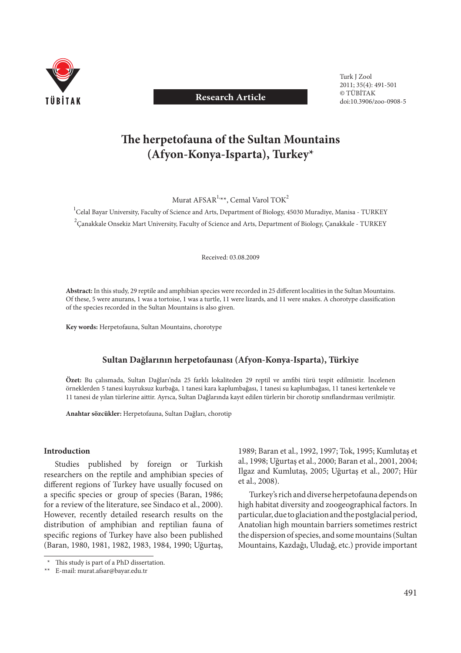

## **Research Article**

 Turk J Zool 2011; 35(4): 491-501 © TÜBİTAK doi:10.3906/zoo-0908-5

# The herpetofauna of the Sultan Mountains **(Afyon-Konya-Isparta), Turkey\***

Murat AFSAR<sup>1,\*\*</sup>, Cemal Varol TOK<sup>2</sup>

<sup>1</sup>Celal Bayar University, Faculty of Science and Arts, Department of Biology, 45030 Muradiye, Manisa - TURKEY  $^2$ Çanakkale Onsekiz Mart University, Faculty of Science and Arts, Department of Biology, Çanakkale - TURKEY

Received: 03.08.2009

Abstract: In this study, 29 reptile and amphibian species were recorded in 25 different localities in the Sultan Mountains. Of these, 5 were anurans, 1 was a tortoise, 1 was a turtle, 11 were lizards, and 11 were snakes. A chorotype classification of the species recorded in the Sultan Mountains is also given.

**Key words:** Herpetofauna, Sultan Mountains, chorotype

### **Sultan Dağlarının herpetofaunası (Afyon-Konya-Isparta), Türkiye**

Özet: Bu çalısmada, Sultan Dağları'nda 25 farklı lokaliteden 29 reptil ve amfibi türü tespit edilmistir. İncelenen örneklerden 5 tanesi kuyruksuz kurbağa, 1 tanesi kara kaplumbağası, 1 tanesi su kaplumbağası, 11 tanesi kertenkele ve 11 tanesi de yılan türlerine aittir. Ayrıca, Sultan Dağlarında kayıt edilen türlerin bir chorotip sınıflandırması verilmiştir.

**Anahtar sözcükler:** Herpetofauna, Sultan Dağları, chorotip

#### **Introduction**

Studies published by foreign or Turkish researchers on the reptile and amphibian species of different regions of Turkey have usually focused on a specific species or group of species (Baran, 1986; for a review of the literature, see Sindaco et al., 2000). However, recently detailed research results on the distribution of amphibian and reptilian fauna of specific regions of Turkey have also been published (Baran, 1980, 1981, 1982, 1983, 1984, 1990; Uğurtaş,

1989; Baran et al., 1992, 1997; Tok, 1995; Kumlutaş et al., 1998; Uğurtaş et al., 2000; Baran et al., 2001, 2004; Ilgaz and Kumlutaş, 2005; Uğurtaş et al., 2007; Hür et al., 2008).

Turkey's rich and diverse herpetofauna depends on high habitat diversity and zoogeographical factors. In particular, due to glaciation and the postglacial period, Anatolian high mountain barriers sometimes restrict the dispersion of species, and some mountains (Sultan Mountains, Kazdağı, Uludağ, etc.) provide important

<sup>\*</sup> This study is part of a PhD dissertation.

 <sup>\*\*</sup> E-mail: murat.afsar@bayar.edu.tr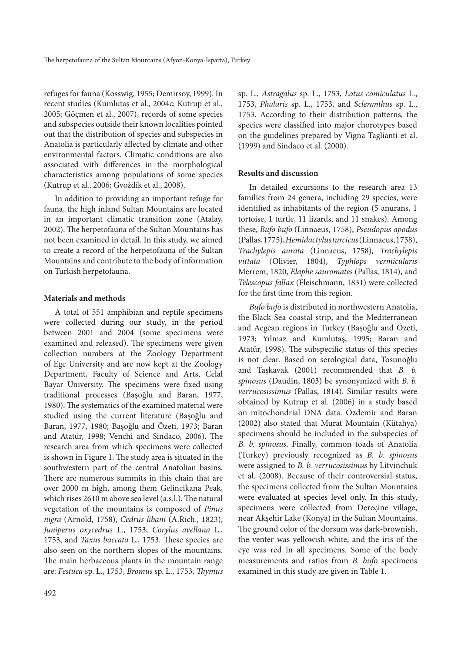refuges for fauna (Kosswig, 1955; Demirsoy, 1999). In recent studies (Kumlutaş et al., 2004c; Kutrup et al., 2005; Göçmen et al., 2007), records of some species and subspecies outside their known localities pointed out that the distribution of species and subspecies in Anatolia is particularly affected by climate and other environmental factors. Climatic conditions are also associated with differences in the morphological characteristics among populations of some species (Kutrup et al., 2006; Gvoždik et al., 2008).

In addition to providing an important refuge for fauna, the high inland Sultan Mountains are located in an important climatic transition zone (Atalay, 2002). The herpetofauna of the Sultan Mountains has not been examined in detail. In this study, we aimed to create a record of the herpetofauna of the Sultan Mountains and contribute to the body of information on Turkish herpetofauna.

#### **Materials and methods**

A total of 551 amphibian and reptile specimens were collected during our study, in the period between 2001 and 2004 (some specimens were examined and released). The specimens were given collection numbers at the Zoology Department of Ege University and are now kept at the Zoology Department, Faculty of Science and Arts, Celal Bayar University. The specimens were fixed using traditional processes (Başoğlu and Baran, 1977, 1980). The systematics of the examined material were studied using the current literature (Başoğlu and Baran, 1977, 1980; Başoğlu and Özeti, 1973; Baran and Atatür, 1998; Venchi and Sindaco, 2006). The research area from which specimens were collected is shown in Figure 1. The study area is situated in the southwestern part of the central Anatolian basins. There are numerous summits in this chain that are over 2000 m high, among them Gelincikana Peak, which rises 2610 m above sea level (a.s.l.). The natural vegetation of the mountains is composed of *Pinus nigra* (Arnold, 1758), *Cedrus libani* (A.Rich., 1823), *Juniperus oxycedrus* L., 1753, *Corylus avellana* L., 1753, and *Taxus baccata* L., 1753. These species are also seen on the northern slopes of the mountains. The main herbaceous plants in the mountain range are: *Festuca* sp. L., 1753, *Bromus* sp. L., 1753, *Th ymus* sp. L., *Astragalus* sp. L., 1753, *Lotus comiculatus* L., 1753, *Phalaris* sp. L., 1753, and *Scleranthus* sp. L., 1753. According to their distribution patterns, the species were classified into major chorotypes based on the guidelines prepared by Vigna Taglianti et al. (1999) and Sindaco et al. (2000).

#### **Results and discussion**

In detailed excursions to the research area 13 families from 24 genera, including 29 species, were identified as inhabitants of the region (5 anurans, 1 tortoise, 1 turtle, 11 lizards, and 11 snakes). Among these, *Bufo bufo* (Linnaeus, 1758), *Pseudopus apodus*  (Pallas, 1775), *Hemidactylus turcicus* (Linnaeus, 1758), *Trachylepis aurata* (Linnaeus, 1758)*, Trachylepis vittata* (Olivier, 1804), *Typhlops vermicularis* Merrem, 1820, *Elaphe sauromates* (Pallas, 1814), and *Telescopus fallax* (Fleischmann, 1831) were collected for the first time from this region.

*Bufo bufo* is distributed in northwestern Anatolia, the Black Sea coastal strip, and the Mediterranean and Aegean regions in Turkey (Başoğlu and Özeti, 1973; Yılmaz and Kumlutaş, 1995; Baran and Atatür, 1998). The subspecific status of this species is not clear. Based on serological data, Tosunoğlu and Taşkavak (2001) recommended that *B. b. spinosus* (Daudin, 1803) be synonymized with *B. b. verrucosissimus* (Pallas, 1814). Similar results were obtained by Kutrup et al. (2006) in a study based on mitochondrial DNA data. Özdemir and Baran (2002) also stated that Murat Mountain (Kütahya) specimens should be included in the subspecies of *B. b. spinosus*. Finally, common toads of Anatolia (Turkey) previously recognized as *B. b. spinosus* were assigned to *B. b. verrucosissimus* by Litvinchuk et al. (2008). Because of their controversial status, the specimens collected from the Sultan Mountains were evaluated at species level only. In this study, specimens were collected from Dereçine village, near Akşehir Lake (Konya) in the Sultan Mountains. The ground color of the dorsum was dark-brownish, the venter was yellowish-white, and the iris of the eye was red in all specimens. Some of the body measurements and ratios from *B. bufo* specimens examined in this study are given in Table 1.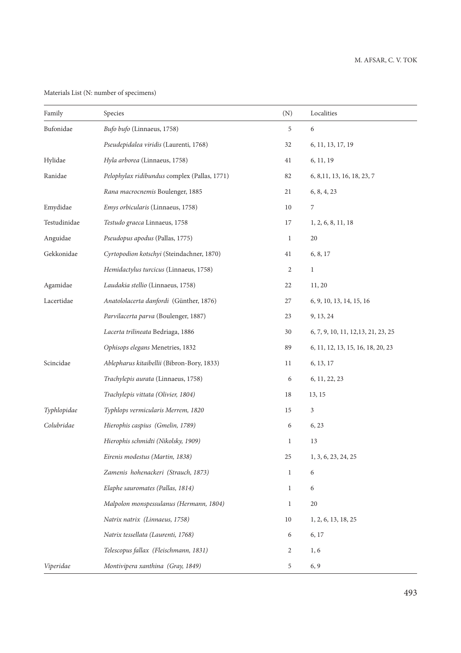Materials List (N: number of specimens)

| Family       | Species                                      | (N)            | Localities                          |
|--------------|----------------------------------------------|----------------|-------------------------------------|
| Bufonidae    | Bufo bufo (Linnaeus, 1758)                   | 5              | 6                                   |
|              | Pseudepidalea viridis (Laurenti, 1768)       | 32             | 6, 11, 13, 17, 19                   |
| Hylidae      | Hyla arborea (Linnaeus, 1758)                | 41             | 6, 11, 19                           |
| Ranidae      | Pelophylax ridibundus complex (Pallas, 1771) | 82             | 6, 8, 11, 13, 16, 18, 23, 7         |
|              | Rana macrocnemis Boulenger, 1885             | 21             | 6, 8, 4, 23                         |
| Emydidae     | Emys orbicularis (Linnaeus, 1758)            | 10             | 7                                   |
| Testudinidae | Testudo graeca Linnaeus, 1758                | 17             | 1, 2, 6, 8, 11, 18                  |
| Anguidae     | Pseudopus apodus (Pallas, 1775)              | $\mathbf{1}$   | 20                                  |
| Gekkonidae   | Cyrtopodion kotschyi (Steindachner, 1870)    | 41             | 6, 8, 17                            |
|              | Hemidactylus turcicus (Linnaeus, 1758)       | $\overline{c}$ | $\mathbf{1}$                        |
| Agamidae     | Laudakia stellio (Linnaeus, 1758)            | 22             | 11, 20                              |
| Lacertidae   | Anatololacerta danfordi (Günther, 1876)      | 27             | 6, 9, 10, 13, 14, 15, 16            |
|              | Parvilacerta parva (Boulenger, 1887)         | 23             | 9, 13, 24                           |
|              | Lacerta trilineata Bedriaga, 1886            | 30             | 6, 7, 9, 10, 11, 12, 13, 21, 23, 25 |
|              | Ophisops elegans Menetries, 1832             | 89             | 6, 11, 12, 13, 15, 16, 18, 20, 23   |
| Scincidae    | Ablepharus kitaibellii (Bibron-Bory, 1833)   | 11             | 6, 13, 17                           |
|              | Trachylepis aurata (Linnaeus, 1758)          | 6              | 6, 11, 22, 23                       |
|              | Trachylepis vittata (Olivier, 1804)          | 18             | 13, 15                              |
| Typhlopidae  | Typhlops vermicularis Merrem, 1820           | 15             | 3                                   |
| Colubridae   | Hierophis caspius (Gmelin, 1789)             | 6              | 6, 23                               |
|              | Hierophis schmidti (Nikolsky, 1909)          | $\mathbf{1}$   | 13                                  |
|              | Eirenis modestus (Martin, 1838)              | 25             | 1, 3, 6, 23, 24, 25                 |
|              | Zamenis hohenackeri (Strauch, 1873)          | $\mathbf{1}$   | 6                                   |
|              | Elaphe sauromates (Pallas, 1814)             | $\mathbf{1}$   | 6                                   |
|              | Malpolon monspessulanus (Hermann, 1804)      | 1              | 20                                  |
|              | Natrix natrix (Linnaeus, 1758)               | 10             | 1, 2, 6, 13, 18, 25                 |
|              | Natrix tessellata (Laurenti, 1768)           | 6              | 6, 17                               |
|              | Telescopus fallax (Fleischmann, 1831)        | 2              | 1,6                                 |
| Viperidae    | Montivipera xanthina (Gray, 1849)            | 5              | 6, 9                                |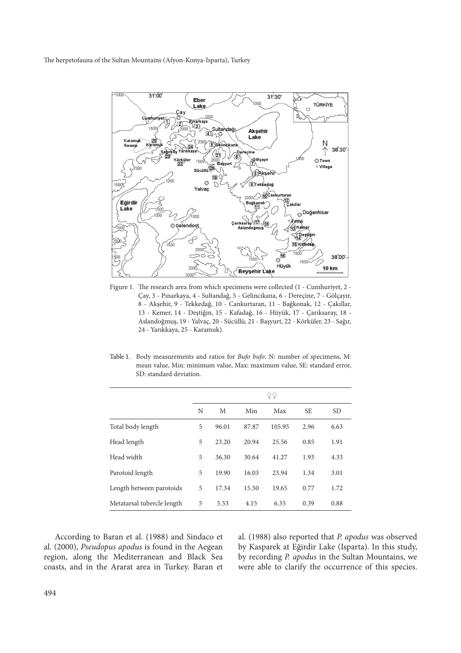The herpetofauna of the Sultan Mountains (Afyon-Konya-Isparta), Turkey



Figure 1. The research area from which specimens were collected (1 - Cumhuriyet, 2 -Çay, 3 - Pınarkaya, 4 - Sultandağ, 5 - Gelincikana, 6 - Dereçine, 7 - Gölçayır, 8 - Akşehir, 9 - Tekkedağ, 10 - Cankurtaran, 11 - Bağkonak, 12 - Çakıllar, 13 - Kemer, 14 - Deştiğin, 15 - Kafadağ, 16 - Hüyük, 17 - Çarıksaray, 18 - Aslandoğmuş, 19 - Yalvaç, 20 - Sücüllü, 21 - Başyurt, 22 - Körküler, 23 - Sağır, 24 - Yarıkkaya, 25 - Karamuk).

Table 1. Body measurements and ratios for *Bufo bufo*. N: number of specimens, M: mean value, Min: minimum value, Max: maximum value, SE: standard error, SD: standard deviation.

|                            | ¥¥ |       |       |        |           |           |
|----------------------------|----|-------|-------|--------|-----------|-----------|
|                            | N  | М     | Min   | Max    | <b>SE</b> | <b>SD</b> |
| Total body length          | 5  | 96.01 | 87.87 | 105.95 | 2.96      | 6.63      |
| Head length                | 5  | 23.20 | 20.94 | 25.56  | 0.85      | 1.91      |
| Head width                 | 5  | 36.30 | 30.64 | 41.27  | 1.93      | 4.33      |
| Parotoid length            | 5  | 19.90 | 16.03 | 23.94  | 1.34      | 3.01      |
| Length between parotoids   | 5  | 17.34 | 15.50 | 19.65  | 0.77      | 1.72      |
| Metatarsal tubercle length | 5  | 5.53  | 4.15  | 6.35   | 0.39      | 0.88      |

According to Baran et al. (1988) and Sindaco et al. (2000), *Pseudopus apodus* is found in the Aegean region, along the Mediterranean and Black Sea coasts, and in the Ararat area in Turkey. Baran et al. (1988) also reported that *P. apodus* was observed by Kasparek at Eğirdir Lake (Isparta). In this study, by recording *P. apodus* in the Sultan Mountains, we were able to clarify the occurrence of this species.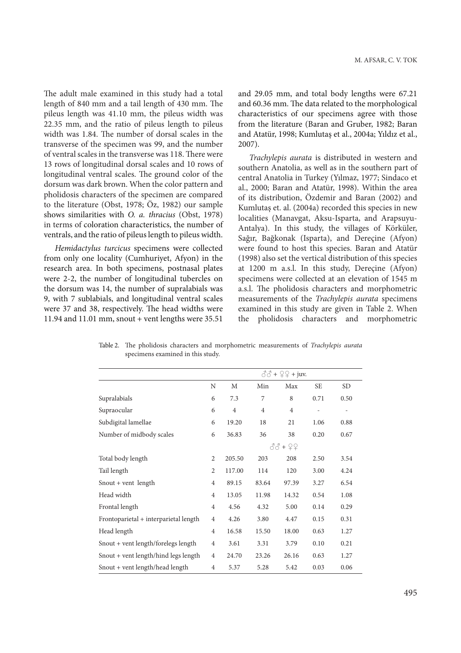The adult male examined in this study had a total length of 840 mm and a tail length of 430 mm. The pileus length was 41.10 mm, the pileus width was 22.35 mm, and the ratio of pileus length to pileus width was 1.84. The number of dorsal scales in the transverse of the specimen was 99, and the number of ventral scales in the transverse was 118. There were 13 rows of longitudinal dorsal scales and 10 rows of longitudinal ventral scales. The ground color of the dorsum was dark brown. When the color pattern and pholidosis characters of the specimen are compared to the literature (Obst, 1978; Öz, 1982) our sample shows similarities with *O. a. thracius* (Obst, 1978) in terms of coloration characteristics, the number of ventrals, and the ratio of pileus length to pileus width.

*Hemidactylus turcicus* specimens were collected from only one locality (Cumhuriyet, Afyon) in the research area. In both specimens, postnasal plates were 2-2, the number of longitudinal tubercles on the dorsum was 14, the number of supralabials was 9, with 7 sublabials, and longitudinal ventral scales were 37 and 38, respectively. The head widths were 11.94 and 11.01 mm, snout + vent lengths were 35.51

and 29.05 mm, and total body lengths were 67.21 and 60.36 mm. The data related to the morphological characteristics of our specimens agree with those from the literature (Baran and Gruber, 1982; Baran and Atatür, 1998; Kumlutaş et al., 2004a; Yıldız et al., 2007).

*Trachylepis aurata* is distributed in western and southern Anatolia, as well as in the southern part of central Anatolia in Turkey (Yılmaz, 1977; Sindaco et al., 2000; Baran and Atatür, 1998). Within the area of its distribution, Özdemir and Baran (2002) and Kumlutaş et. al. (2004a) recorded this species in new localities (Manavgat, Aksu-Isparta, and Arapsuyu-Antalya). In this study, the villages of Körküler, Sağır, Bağkonak (Isparta), and Dereçine (Afyon) were found to host this species. Baran and Atatür (1998) also set the vertical distribution of this species at 1200 m a.s.l. In this study, Dereçine (Afyon) specimens were collected at an elevation of 1545 m a.s.l. The pholidosis characters and morphometric measurements of the *Trachylepis aurata* specimens examined in this study are given in Table 2. When the pholidosis characters and morphometric

|                                       | $\delta\delta$ + $\Omega$ + juv. |                |                |                |           |           |
|---------------------------------------|----------------------------------|----------------|----------------|----------------|-----------|-----------|
|                                       | N                                | М              | Min            | Max            | <b>SE</b> | <b>SD</b> |
| Supralabials                          | 6                                | 7.3            | 7              | 8              | 0.71      | 0.50      |
| Supraocular                           | 6                                | $\overline{4}$ | $\overline{4}$ | $\overline{4}$ |           |           |
| Subdigital lamellae                   | 6                                | 19.20          | 18             | 21             | 1.06      | 0.88      |
| Number of midbody scales              | 6                                | 36.83          | 36             | 38             | 0.20      | 0.67      |
|                                       |                                  |                |                | 88 + 22        |           |           |
| Total body length                     | 2                                | 205.50         | 203            | 208            | 2.50      | 3.54      |
| Tail length                           | 2                                | 117.00         | 114            | 120            | 3.00      | 4.24      |
| Snout + vent length                   | $\overline{4}$                   | 89.15          | 83.64          | 97.39          | 3.27      | 6.54      |
| Head width                            | $\overline{4}$                   | 13.05          | 11.98          | 14.32          | 0.54      | 1.08      |
| Frontal length                        | $\overline{4}$                   | 4.56           | 4.32           | 5.00           | 0.14      | 0.29      |
| Frontoparietal + interparietal length | $\overline{4}$                   | 4.26           | 3.80           | 4.47           | 0.15      | 0.31      |
| Head length                           | $\overline{4}$                   | 16.58          | 15.50          | 18.00          | 0.63      | 1.27      |
| Snout + vent length/forelegs length   | $\overline{4}$                   | 3.61           | 3.31           | 3.79           | 0.10      | 0.21      |
| Snout + vent length/hind legs length  | $\overline{4}$                   | 24.70          | 23.26          | 26.16          | 0.63      | 1.27      |
| Snout + vent length/head length       | $\overline{4}$                   | 5.37           | 5.28           | 5.42           | 0.03      | 0.06      |

Table 2. The pholidosis characters and morphometric measurements of *Trachylepis aurata* specimens examined in this study.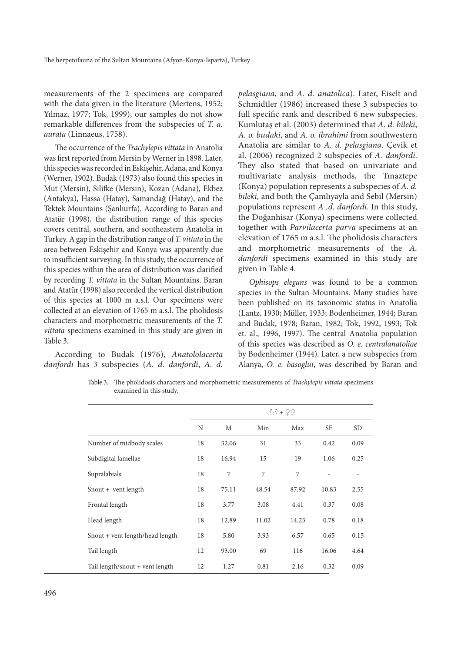measurements of the 2 specimens are compared with the data given in the literature (Mertens, 1952; Yılmaz, 1977; Tok, 1999), our samples do not show remarkable differences from the subspecies of *T. a. aurata* (Linnaeus, 1758).

The occurrence of the *Trachylepis vittata* in Anatolia was first reported from Mersin by Werner in 1898. Later, this species was recorded in Eskişehir, Adana, and Konya (Werner, 1902). Budak (1973) also found this species in Mut (Mersin), Silifke (Mersin), Kozan (Adana), Ekbez (Antakya), Hassa (Hatay), Samandağ (Hatay), and the Tektek Mountains (Şanlıurfa). According to Baran and Atatür (1998), the distribution range of this species covers central, southern, and southeastern Anatolia in Turkey. A gap in the distribution range of *T. vittata* in the area between Eskişehir and Konya was apparently due to insufficient surveying. In this study, the occurrence of this species within the area of distribution was clarified by recording *T. vittata* in the Sultan Mountains. Baran and Atatür (1998) also recorded the vertical distribution of this species at 1000 m a.s.l. Our specimens were collected at an elevation of 1765 m a.s.l. The pholidosis characters and morphometric measurements of the *T. vittata* specimens examined in this study are given in Table 3.

According to Budak (1976), *Anatololacerta danfordi* has 3 subspecies (*A. d. danfordi*, *A. d.*

*pelasgiana*, and *A. d. anatolica*). Later, Eiselt and Schmidtler (1986) increased these 3 subspecies to full specific rank and described 6 new subspecies. Kumlutaş et al. (2003) determined that *A. d. bileki*, *A. o. budaki*, and *A. o. ibrahimi* from southwestern Anatolia are similar to *A. d. pelasgiana*. Çevik et al. (2006) recognized 2 subspecies of *A. danfordi*. They also stated that based on univariate and multivariate analysis methods, the Tınaztepe (Konya) population represents a subspecies of *A. d. bileki*, and both the Çamlıyayla and Sebil (Mersin) populations represent *A .d. danfordi*. In this study, the Doğanhisar (Konya) specimens were collected together with *Parvilacerta parva* specimens at an elevation of 1765 m a.s.l. The pholidosis characters and morphometric measurements of the *A. danfordi* specimens examined in this study are given in Table 4.

*Ophisops elegans* was found to be a common species in the Sultan Mountains. Many studies have been published on its taxonomic status in Anatolia (Lantz, 1930; Müller, 1933; Bodenheimer, 1944; Baran and Budak, 1978; Baran, 1982; Tok, 1992, 1993; Tok et. al., 1996, 1997). The central Anatolia population of this species was described as *O. e. centralanatoliae* by Bodenheimer (1944). Later, a new subspecies from Alanya, *O. e. basoglui*, was described by Baran and

Table 3. The pholidosis characters and morphometric measurements of *Trachylepis vittata* specimens examined in this study.

|                                 |    | $33 + 99$ |       |       |           |      |  |  |
|---------------------------------|----|-----------|-------|-------|-----------|------|--|--|
|                                 | N  | М         | Min   | Max   | <b>SE</b> | SD.  |  |  |
| Number of midbody scales        | 18 | 32.06     | 31    | 33    | 0.42      | 0.09 |  |  |
| Subdigital lamellae             | 18 | 16.94     | 15    | 19    | 1.06      | 0.25 |  |  |
| Supralabials                    | 18 | 7         | 7     | 7     |           |      |  |  |
| Snout + vent length             | 18 | 75.11     | 48.54 | 87.92 | 10.83     | 2.55 |  |  |
| Frontal length                  | 18 | 3.77      | 3.08  | 4.41  | 0.37      | 0.08 |  |  |
| Head length                     | 18 | 12.89     | 11.02 | 14.23 | 0.78      | 0.18 |  |  |
| Snout + vent length/head length | 18 | 5.80      | 3.93  | 6.57  | 0.65      | 0.15 |  |  |
| Tail length                     | 12 | 93.00     | 69    | 116   | 16.06     | 4.64 |  |  |
| Tail length/snout + vent length | 12 | 1.27      | 0.81  | 2.16  | 0.32      | 0.09 |  |  |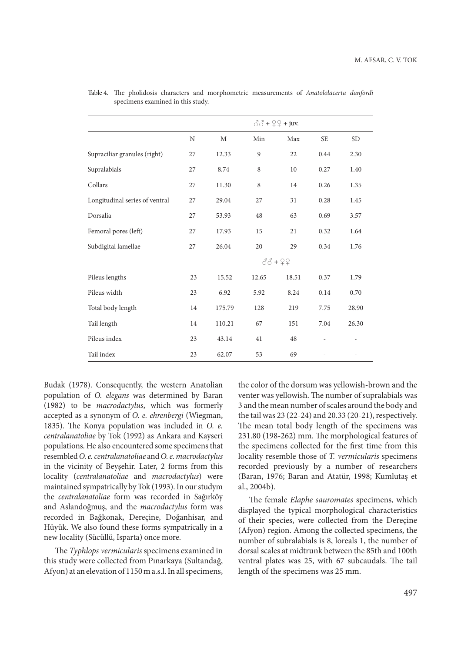|                                | $\delta\delta$ + $\Omega$ + juv. |             |       |           |           |                          |
|--------------------------------|----------------------------------|-------------|-------|-----------|-----------|--------------------------|
|                                | $\rm N$                          | $\mathbf M$ | Min   | Max       | <b>SE</b> | <b>SD</b>                |
| Supraciliar granules (right)   | 27                               | 12.33       | 9     | 22        | 0.44      | 2.30                     |
| Supralabials                   | 27                               | 8.74        | 8     | 10        | 0.27      | 1.40                     |
| Collars                        | 27                               | 11.30       | 8     | 14        | 0.26      | 1.35                     |
| Longitudinal series of ventral | 27                               | 29.04       | 27    | 31        | 0.28      | 1.45                     |
| Dorsalia                       | 27                               | 53.93       | 48    | 63        | 0.69      | 3.57                     |
| Femoral pores (left)           | 27                               | 17.93       | 15    | 21        | 0.32      | 1.64                     |
| Subdigital lamellae            | 27                               | 26.04       | 20    | 29        | 0.34      | 1.76                     |
|                                |                                  |             |       | $33 + 22$ |           |                          |
| Pileus lengths                 | 23                               | 15.52       | 12.65 | 18.51     | 0.37      | 1.79                     |
| Pileus width                   | 23                               | 6.92        | 5.92  | 8.24      | 0.14      | 0.70                     |
| Total body length              | 14                               | 175.79      | 128   | 219       | 7.75      | 28.90                    |
| Tail length                    | 14                               | 110.21      | 67    | 151       | 7.04      | 26.30                    |
| Pileus index                   | 23                               | 43.14       | 41    | 48        |           | $\overline{\phantom{a}}$ |
| Tail index                     | 23                               | 62.07       | 53    | 69        |           |                          |

Table 4. The pholidosis characters and morphometric measurements of *Anatololacerta danfordi* specimens examined in this study.

Budak (1978). Consequently, the western Anatolian population of *O. elegans* was determined by Baran (1982) to be *macrodactylus*, which was formerly accepted as a synonym of *O. e. ehrenbergi* (Wiegman, 1835). The Konya population was included in O. e. *centralanatoliae* by Tok (1992) as Ankara and Kayseri populations. He also encountered some specimens that resembled *O. e. centralanatoliae* and *O. e. macrodactylus* in the vicinity of Beyşehir. Later, 2 forms from this locality (*centralanatoliae* and *macrodactylus*) were maintained sympatrically by Tok (1993). In our studym the *centralanatoliae* form was recorded in Sağırköy and Aslandoğmuş, and the *macrodactylus* form was recorded in Bağkonak, Dereçine, Doğanhisar, and Hüyük. We also found these forms sympatrically in a new locality (Sücüllü, Isparta) once more.

The Typhlops vermicularis specimens examined in this study were collected from Pınarkaya (Sultandağ, Afyon) at an elevation of 1150 m a.s.l. In all specimens, the color of the dorsum was yellowish-brown and the venter was yellowish. The number of supralabials was 3 and the mean number of scales around the body and the tail was 23 (22-24) and 20.33 (20-21), respectively. The mean total body length of the specimens was 231.80 (198-262) mm. The morphological features of the specimens collected for the first time from this locality resemble those of *T. vermicularis* specimens recorded previously by a number of researchers (Baran, 1976; Baran and Atatür, 1998; Kumlutaş et al., 2004b).

The female *Elaphe sauromates* specimens, which displayed the typical morphological characteristics of their species, were collected from the Dereçine (Afyon) region. Among the collected specimens, the number of subralabials is 8, loreals 1, the number of dorsal scales at midtrunk between the 85th and 100th ventral plates was 25, with 67 subcaudals. The tail length of the specimens was 25 mm.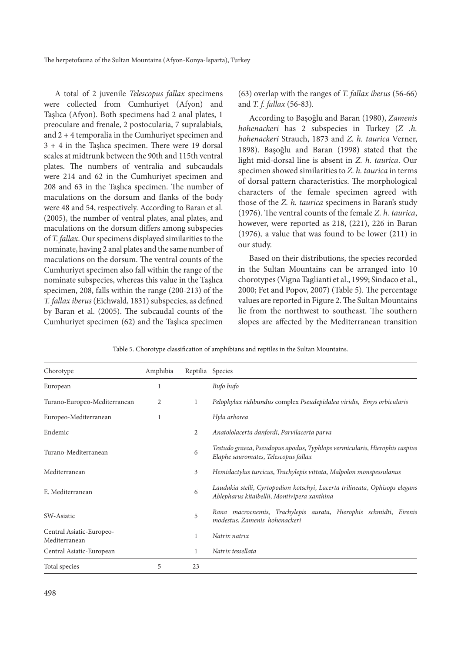A total of 2 juvenile *Telescopus fallax* specimens were collected from Cumhuriyet (Afyon) and Taşlıca (Afyon). Both specimens had 2 anal plates, 1 preoculare and frenale, 2 postocularia, 7 supralabials, and 2 + 4 temporalia in the Cumhuriyet specimen and  $3 + 4$  in the Taslıca specimen. There were 19 dorsal scales at midtrunk between the 90th and 115th ventral plates. The numbers of ventralia and subcaudals were 214 and 62 in the Cumhuriyet specimen and 208 and 63 in the Taşlıca specimen. The number of maculations on the dorsum and flanks of the body were 48 and 54, respectively. According to Baran et al. (2005), the number of ventral plates, anal plates, and maculations on the dorsum differs among subspecies of *T. fallax*. Our specimens displayed similarities to the nominate, having 2 anal plates and the same number of maculations on the dorsum. The ventral counts of the Cumhuriyet specimen also fall within the range of the nominate subspecies, whereas this value in the Taşlıca specimen, 208, falls within the range (200-213) of the *T. fallax iberus* (Eichwald, 1831) subspecies, as defined by Baran et al. (2005). The subcaudal counts of the Cumhuriyet specimen (62) and the Taşlıca specimen

(63) overlap with the ranges of *T. fallax iberus* (56-66) and *T. f. fallax* (56-83).

According to Başoğlu and Baran (1980), *Zamenis hohenackeri* has 2 subspecies in Turkey (*Z .h. hohenackeri* Strauch, 1873 and *Z. h. taurica* Verner, 1898). Başoğlu and Baran (1998) stated that the light mid-dorsal line is absent in *Z. h. taurica*. Our specimen showed similarities to *Z. h. taurica* in terms of dorsal pattern characteristics. The morphological characters of the female specimen agreed with those of the *Z. h. taurica* specimens in Baran's study (1976). The ventral counts of the female *Z. h. taurica*, however, were reported as 218, (221), 226 in Baran (1976)*,* a value that was found to be lower (211) in our study.

Based on their distributions, the species recorded in the Sultan Mountains can be arranged into 10 chorotypes (Vigna Taglianti et al., 1999; Sindaco et al., 2000; Fet and Popov, 2007) (Table 5). The percentage values are reported in Figure 2. The Sultan Mountains lie from the northwest to southeast. The southern slopes are affected by the Mediterranean transition

| Chorotype                                 | Amphibia | Reptilia Species |                                                                                                                             |
|-------------------------------------------|----------|------------------|-----------------------------------------------------------------------------------------------------------------------------|
| European                                  | 1        |                  | Bufo bufo                                                                                                                   |
| Turano-Europeo-Mediterranean              | 2        | 1                | Pelophylax ridibundus complex Pseudepidalea viridis, Emys orbicularis                                                       |
| Europeo-Mediterranean                     | 1        |                  | Hyla arborea                                                                                                                |
| Endemic                                   |          | 2                | Anatololacerta danfordi, Parvilacerta parva                                                                                 |
| Turano-Mediterranean                      |          | 6                | Testudo graeca, Pseudopus apodus, Typhlops vermicularis, Hierophis caspius<br>Elaphe sauromates, Telescopus fallax          |
| Mediterranean                             |          | 3                | Hemidactylus turcicus, Trachylepis vittata, Malpolon monspessulanus                                                         |
| E. Mediterranean                          |          | 6                | Laudakia stelli, Cyrtopodion kotschyi, Lacerta trilineata, Ophisops elegans<br>Ablepharus kitaibellii, Montivipera xanthina |
| SW-Asiatic                                |          | 5                | Rana macrocnemis, Trachylepis aurata, Hierophis schmidti, Eirenis<br>modestus, Zamenis hohenackeri                          |
| Central Asiatic-Europeo-<br>Mediterranean |          | 1                | Natrix natrix                                                                                                               |
| Central Asiatic-European                  |          | 1                | Natrix tessellata                                                                                                           |
| Total species                             | 5        | 23               |                                                                                                                             |

Table 5. Chorotype classification of amphibians and reptiles in the Sultan Mountains.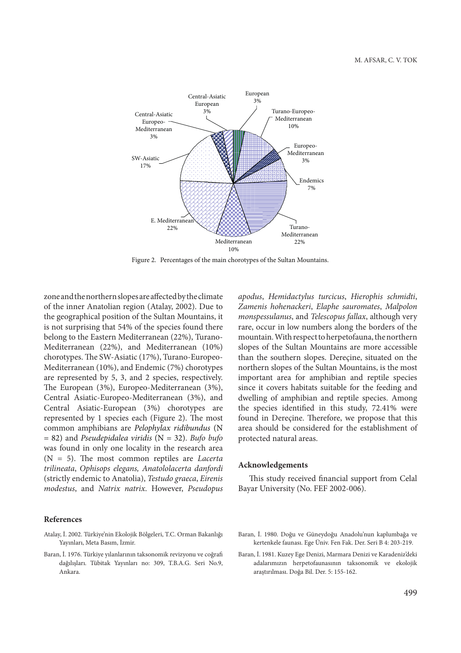

Figure 2. Percentages of the main chorotypes of the Sultan Mountains.

zone and the northern slopes are affected by the climate of the inner Anatolian region (Atalay, 2002). Due to the geographical position of the Sultan Mountains, it is not surprising that 54% of the species found there belong to the Eastern Mediterranean (22%), Turano-Mediterranean (22%), and Mediterranean (10%) chorotypes. The SW-Asiatic (17%), Turano-Europeo-Mediterranean (10%), and Endemic (7%) chorotypes are represented by 5, 3, and 2 species, respectively. The European (3%), Europeo-Mediterranean (3%), Central Asiatic-Europeo-Mediterranean (3%), and Central Asiatic-European (3%) chorotypes are represented by 1 species each (Figure 2). The most common amphibians are *Pelophylax ridibundus* (N = 82) and *Pseudepidalea viridis* (N = 32). *Bufo bufo* was found in only one locality in the research area  $(N = 5)$ . The most common reptiles are *Lacerta trilineata*, *Ophisops elegans, Anatololacerta danfordi* (strictly endemic to Anatolia), *Testudo graeca*, *Eirenis modestus*, and *Natrix natrix*. However, *Pseudopus* 

#### **References**

- Atalay, İ. 2002. Türkiye'nin Ekolojik Bölgeleri, T.C. Orman Bakanlığı Yayınları, Meta Basım, İzmir.
- Baran, İ. 1976. Türkiye yılanlarının taksonomik revizyonu ve coğrafi dağılışları. Tübitak Yayınları no: 309, T.B.A.G. Seri No.9, Ankara.

*apodus*, *Hemidactylus turcicus*, *Hierophis schmidti*, *Zamenis hohenackeri*, *Elaphe sauromates*, *Malpolon monspessulanus*, and *Telescopus fallax*, although very rare, occur in low numbers along the borders of the mountain.With respect to herpetofauna, the northern slopes of the Sultan Mountains are more accessible than the southern slopes. Dereçine, situated on the northern slopes of the Sultan Mountains, is the most important area for amphibian and reptile species since it covers habitats suitable for the feeding and dwelling of amphibian and reptile species. Among the species identified in this study, 72.41% were found in Dereçine. Therefore, we propose that this area should be considered for the establishment of protected natural areas.

#### **Acknowledgements**

This study received financial support from Celal Bayar University (No. FEF 2002-006).

- Baran, İ. 1980. Doğu ve Güneydoğu Anadolu'nun kaplumbağa ve kertenkele faunası. Ege Üniv. Fen Fak. Der. Seri B 4: 203-219.
- Baran, İ. 1981. Kuzey Ege Denizi, Marmara Denizi ve Karadeniz'deki adalarımızın herpetofaunasının taksonomik ve ekolojik araştırılması. Doğa Bil. Der. 5: 155-162.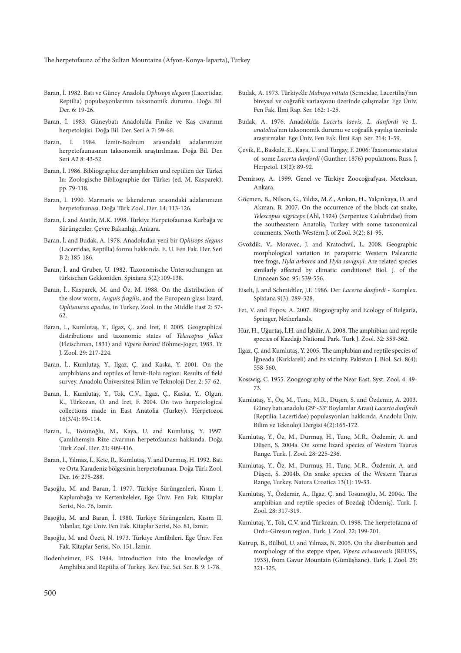The herpetofauna of the Sultan Mountains (Afyon-Konya-Isparta), Turkey

- Baran, İ. 1982. Batı ve Güney Anadolu *Ophisops elegans* (Lacertidae, Reptilia) populasyonlarının taksonomik durumu. Doğa Bil. Der. 6: 19-26.
- Baran, İ. 1983. Güneybatı Anadolu'da Finike ve Kaş civarının herpetolojisi. Doğa Bil. Der. Seri A 7: 59-66.
- Baran, İ. 1984. İzmir-Bodrum arasındaki adalarımızın herpetofaunasının taksonomik araştırılması. Doğa Bil. Der. Seri A2 8: 43-52.
- Baran, İ. 1986. Bibliographie der amphibien und reptilien der Türkei In: Zoologische Bibliographie der Türkei (ed. M. Kasparek), pp. 79-118.
- Baran, İ. 1990. Marmaris ve İskenderun arasındaki adalarımızın herpetofaunası. Doğa Türk Zool. Der. 14: 113-126.
- Baran, İ. and Atatür, M.K. 1998. Türkiye Herpetofaunası Kurbağa ve Sürüngenler, Çevre Bakanlığı, Ankara.
- Baran, İ. and Budak, A. 1978. Anadoludan yeni bir *Ophisops elegans* (Lacertidae, Reptilia) formu hakkında. E. U. Fen Fak. Der. Seri B 2: 185-186.
- Baran, İ. and Gruber, U. 1982. Taxonomische Untersuchungen an türkischen Gekkoniden. Spixiana 5(2):109-138.
- Baran, İ., Kasparek, M. and Öz, M. 1988. On the distribution of the slow worm, *Anguis fragilis*, and the European glass lizard, *Ophisaurus apodus*, in Turkey. Zool. in the Middle East 2: 57- 62.
- Baran, İ., Kumlutaş, Y., Ilgaz, Ç. and İret, F. 2005. Geographical distributions and taxonomic states of *Telescopus fallax* (Fleischman, 1831) and *Vipera barani* Böhme-Joger, 1983. Tr. J. Zool. 29: 217-224.
- Baran, İ., Kumlutaş, Y., Ilgaz, Ç. and Kaska, Y. 2001. On the amphibians and reptiles of İzmit-Bolu region: Results of field survey. Anadolu Üniversitesi Bilim ve Teknoloji Der. 2: 57-62.
- Baran, İ., Kumlutaş, Y., Tok, C.V., Ilgaz, Ç., Kaska, Y., Olgun, K., Türkozan, O. and İret, F. 2004. On two herpetological collections made in East Anatolia (Turkey). Herpetozoa 16(3/4): 99-114.
- Baran, İ., Tosunoğlu, M., Kaya, U. and Kumlutaş, Y. 1997. Çamlıhemşin Rize civarının herpetofaunası hakkında. Doğa Türk Zool. Der. 21: 409-416.
- Baran, İ., Yılmaz, İ., Kete, R., Kumlutaş, Y. and Durmuş, H. 1992. Batı ve Orta Karadeniz bölgesinin herpetofaunası. Doğa Türk Zool. Der. 16: 275-288.
- Başoğlu, M. and Baran, İ. 1977. Türkiye Sürüngenleri, Kısım 1, Kaplumbağa ve Kertenkeleler, Ege Üniv. Fen Fak. Kitaplar Serisi, No. 76, İzmir.
- Başoğlu, M. and Baran, İ. 1980. Türkiye Sürüngenleri, Kısım II, Yılanlar, Ege Üniv. Fen Fak. Kitaplar Serisi, No. 81, İzmir.
- Başoğlu, M. and Özeti, N. 1973. Türkiye Amfibileri. Ege Üniv. Fen Fak. Kitaplar Serisi, No. 151, İzmir.
- Bodenheimer, F.S. 1944. Introduction into the knowledge of Amphibia and Reptilia of Turkey. Rev. Fac. Sci. Ser. B. 9: 1-78.
- Budak, A. 1973. Türkiye'de *Mabuya vittata* (Scincidae, Lacertilia)'nın bireysel ve coğrafik variasyonu üzerinde çalışmalar. Ege Üniv. Fen Fak. İlmi Rap. Ser. 162: 1-25.
- Budak, A. 1976. Anadolu'da *Lacerta laevis*, *L. danfordi* ve *L.*  anatolica'nın taksonomik durumu ve coğrafik yayılışı üzerinde araştırmalar. Ege Üniv. Fen Fak. İlmi Rap. Ser. 214: 1-59.
- Çevik, E., Baskale, E., Kaya, U. and Turgay, F. 2006: Taxonomic status of some *Lacerta danfordi* (Gunther, 1876) populatıons. Russ. J. Herpetol. 13(2): 89-92.
- Demirsoy, A. 1999. Genel ve Türkiye Zoocoğrafyası, Meteksan, Ankara.
- Göçmen, B., Nilson, G., Yıldız, M.Z., Arıkan, H., Yalçınkaya, D. and Akman, B. 2007. On the occurrence of the black cat snake, *Telescopus nigriceps* (Ahl, 1924) (Serpentes: Colubridae) from the southeastern Anatolia, Turkey with some taxonomical comments. North-Western J. of Zool. 3(2): 81-95.
- Gvoždik, V., Moravec, J. and Kratochvil, L. 2008. Geographic morphological variation in parapatric Western Palearctic tree frogs, *Hyla arborea* and *Hyla savignyi*: Are related species similarly affected by climatic conditions? Biol. J. of the Linnaean Soc. 95: 539-556.
- Eiselt, J. and Schmidtler, J.F. 1986. Der *Lacerta danfordi* Komplex. Spixiana 9(3): 289-328.
- Fet, V. and Popov, A. 2007. Biogeography and Ecology of Bulgaria, Springer, Netherlands.
- Hür, H., Uğurtaş, İ.H. and İşbilir, A. 2008. The amphibian and reptile species of Kazdağı National Park. Turk J. Zool. 32: 359-362.
- Ilgaz, Ç. and Kumlutaş, Y. 2005. The amphibian and reptile species of İğneada (Kırklareli) and its vicinity. Pakistan J. Biol. Sci. 8(4): 558-560.
- Kosswig, C. 1955. Zoogeography of the Near East. Syst. Zool. 4: 49- 73.
- Kumlutaş, Y., Öz, M., Tunç, M.R., Düşen, S. and Özdemir, A. 2003. Güney batı anadolu (29°-33° Boylamlar Arası) *Lacerta danfordi* (Reptilia: Lacertidae) populasyonları hakkında. Anadolu Üniv. Bilim ve Teknoloji Dergisi 4(2):165-172.
- Kumlutaş, Y., Öz, M., Durmuş, H., Tunç, M.R., Özdemir, A. and Düşen, S. 2004a. On some lizard species of Western Taurus Range. Turk. J. Zool. 28: 225-236.
- Kumlutaş, Y., Öz, M., Durmuş, H., Tunç, M.R., Özdemir, A. and Düşen, S. 2004b. On snake species of the Western Taurus Range, Turkey. Natura Croatica 13(1): 19-33.
- Kumlutaş, Y., Özdemir, A., Ilgaz, Ç. and Tosunoğlu, M. 2004c. The amphibian and reptile species of Bozdağ (Ödemiş). Turk. J. Zool. 28: 317-319.
- Kumlutaş, Y., Tok, C.V. and Türkozan, O. 1998. The herpetofauna of Ordu-Giresun region. Turk. J. Zool. 22: 199-201.
- Kutrup, B., Bülbül, U. and Yılmaz, N. 2005. On the distribution and morphology of the steppe viper, *Vipera eriwanensis* (REUSS, 1933), from Gavur Mountain (Gümüşhane). Turk. J. Zool. 29: 321-325.